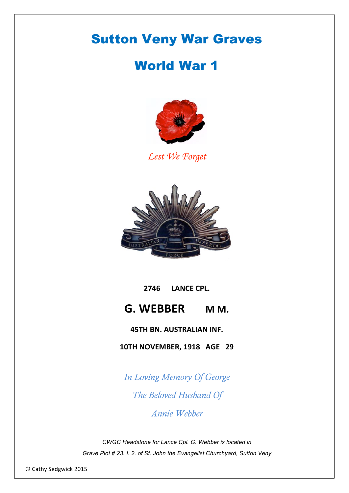# Sutton Veny War Graves

## World War 1



*Lest We Forget* 



# **2746 LANCE CPL. G. WEBBER MM.**

### **45TH BN. AUSTRALIAN INF.**

**10TH NOVEMBER, 1918 AGE 29** 

*In Loving Memory Of George The Beloved Husband Of*

*Annie Webber*

*CWGC Headstone for Lance Cpl. G. Webber is located in Grave Plot # 23. I. 2. of St. John the Evangelist Churchyard, Sutton Veny*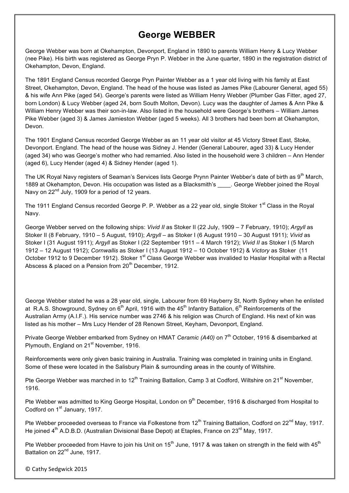## **George WEBBER**

George Webber was born at Okehampton, Devonport, England in 1890 to parents William Henry & Lucy Webber (nee Pike). His birth was registered as George Pryn P. Webber in the June quarter, 1890 in the registration district of Okehampton, Devon, England.

The 1891 England Census recorded George Pryn Painter Webber as a 1 year old living with his family at East Street, Okehampton, Devon, England. The head of the house was listed as James Pike (Labourer General, aged 55) & his wife Ann Pike (aged 54). George's parents were listed as William Henry Webber (Plumber Gas Fitter, aged 27, born London) & Lucy Webber (aged 24, born South Molton, Devon). Lucy was the daughter of James & Ann Pike & William Henry Webber was their son-in-law. Also listed in the household were George's brothers – William James Pike Webber (aged 3) & James Jamieston Webber (aged 5 weeks). All 3 brothers had been born at Okehampton, Devon.

The 1901 England Census recorded George Webber as an 11 year old visitor at 45 Victory Street East, Stoke, Devonport. England. The head of the house was Sidney J. Hender (General Labourer, aged 33) & Lucy Hender (aged 34) who was George's mother who had remarried. Also listed in the household were 3 children – Ann Hender (aged 6), Lucy Hender (aged 4) & Sidney Hender (aged 1).

The UK Royal Navy registers of Seaman's Services lists George Prynn Painter Webber's date of birth as 9<sup>th</sup> March, 1889 at Okehampton, Devon. His occupation was listed as a Blacksmith's \_\_\_\_. George Webber joined the Royal Navy on 22<sup>nd</sup> July, 1909 for a period of 12 years.

The 1911 England Census recorded George P. P. Webber as a 22 year old, single Stoker 1<sup>st</sup> Class in the Royal Navy.

George Webber served on the following ships: *Vivid II* as Stoker II (22 July, 1909 – 7 February, 1910); *Argyll* as Stoker II (8 February, 1910 – 5 August, 1910); *Argyll* – as Stoker I (6 August 1910 – 30 August 1911); *Vivid* as Stoker I (31 August 1911); *Argyll* as Stoker I (22 September 1911 – 4 March 1912); *Vivid II* as Stoker I (5 March 1912 – 12 August 1912); *Cornwallis* as Stoker I (13 August 1912 – 10 October 1912) & *Victory* as Stoker (11 October 1912 to 9 December 1912). Stoker 1<sup>st</sup> Class George Webber was invalided to Haslar Hospital with a Rectal Abscess & placed on a Pension from  $20<sup>th</sup>$  December, 1912.

George Webber stated he was a 28 year old, single, Labourer from 69 Hayberry St, North Sydney when he enlisted at R.A.S. Showground, Sydney on  $6<sup>th</sup>$  April, 1916 with the 45<sup>th</sup> Infantry Battalion,  $6<sup>th</sup>$  Reinforcements of the Australian Army (A.I.F.). His service number was 2746 & his religion was Church of England. His next of kin was listed as his mother – Mrs Lucy Hender of 28 Renown Street, Keyham, Devonport, England.

Private George Webber embarked from Sydney on HMAT *Ceramic (A40)* on 7<sup>th</sup> October, 1916 & disembarked at Plymouth, England on 21<sup>st</sup> November, 1916.

Reinforcements were only given basic training in Australia. Training was completed in training units in England. Some of these were located in the Salisbury Plain & surrounding areas in the county of Wiltshire.

Pte George Webber was marched in to 12<sup>th</sup> Training Battalion, Camp 3 at Codford, Wiltshire on 21<sup>st</sup> November, 1916.

Pte Webber was admitted to King George Hospital, London on 9<sup>th</sup> December, 1916 & discharged from Hospital to Codford on 1<sup>st</sup> January, 1917.

Pte Webber proceeded overseas to France via Folkestone from 12<sup>th</sup> Training Battalion, Codford on 22<sup>nd</sup> May, 1917. He joined 4<sup>th</sup> A.D.B.D. (Australian Divisional Base Depot) at Etaples, France on 23<sup>rd</sup> May, 1917.

Pte Webber proceeded from Havre to join his Unit on  $15<sup>th</sup>$  June, 1917 & was taken on strength in the field with  $45<sup>th</sup>$ Battalion on 22<sup>nd</sup> June, 1917.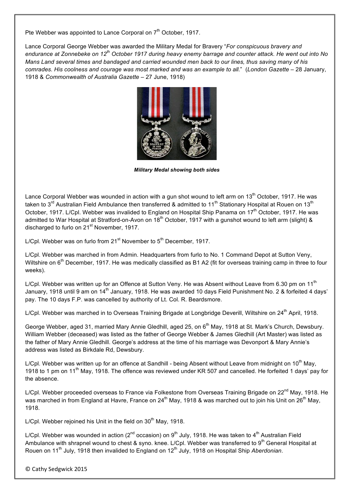Pte Webber was appointed to Lance Corporal on 7<sup>th</sup> October, 1917.

Lance Corporal George Webber was awarded the Military Medal for Bravery "*For conspicuous bravery and endurance at Zonnebeke on 12th October 1917 during heavy enemy barrage and counter attack. He went out into No Mans Land several times and bandaged and carried wounded men back to our lines, thus saving many of his comrades. His coolness and courage was most marked and was an example to all.*" (*London Gazette* – 28 January, 1918 & *Commonwealth of Australia Gazette* – 27 June, 1918)



*Military Medal showing both sides*

Lance Corporal Webber was wounded in action with a gun shot wound to left arm on 13<sup>th</sup> October, 1917. He was taken to 3<sup>rd</sup> Australian Field Ambulance then transferred & admitted to 11<sup>th</sup> Stationary Hospital at Rouen on 13<sup>th</sup> October, 1917. L/Cpl. Webber was invalided to England on Hospital Ship Panama on 17<sup>th</sup> October, 1917. He was admitted to War Hospital at Stratford-on-Avon on 18<sup>th</sup> October, 1917 with a gunshot wound to left arm (slight) & discharged to furlo on 21<sup>st</sup> November, 1917.

L/Cpl. Webber was on furlo from  $21<sup>st</sup>$  November to  $5<sup>th</sup>$  December, 1917.

L/Cpl. Webber was marched in from Admin. Headquarters from furlo to No. 1 Command Depot at Sutton Veny, Wiltshire on 6<sup>th</sup> December, 1917. He was medically classified as B1 A2 (fit for overseas training camp in three to four weeks).

L/Cpl. Webber was written up for an Offence at Sutton Veny. He was Absent without Leave from 6.30 pm on 11<sup>th</sup> January, 1918 until 9 am on 14<sup>th</sup> January, 1918. He was awarded 10 days Field Punishment No. 2 & forfeited 4 days' pay. The 10 days F.P. was cancelled by authority of Lt. Col. R. Beardsmore.

L/Cpl. Webber was marched in to Overseas Training Brigade at Longbridge Deverill. Wiltshire on 24<sup>th</sup> April, 1918.

George Webber, aged 31, married Mary Annie Gledhill, aged 25, on 6<sup>th</sup> May, 1918 at St. Mark's Church, Dewsbury. William Webber (deceased) was listed as the father of George Webber & James Gledhill (Art Master) was listed as the father of Mary Annie Gledhill. George's address at the time of his marriage was Devonport & Mary Annie's address was listed as Birkdale Rd, Dewsbury.

L/Cpl. Webber was written up for an offence at Sandhill - being Absent without Leave from midnight on 10<sup>th</sup> May, 1918 to 1 pm on 11<sup>th</sup> May, 1918. The offence was reviewed under KR 507 and cancelled. He forfeited 1 days' pay for the absence.

L/Cpl. Webber proceeded overseas to France via Folkestone from Overseas Training Brigade on 22<sup>nd</sup> May, 1918. He was marched in from England at Havre, France on 24<sup>th</sup> May, 1918 & was marched out to join his Unit on 26<sup>th</sup> May, 1918.

L/Cpl. Webber rejoined his Unit in the field on  $30<sup>th</sup>$  May, 1918.

L/Cpl. Webber was wounded in action ( $2^{nd}$  occasion) on  $9^{th}$  July, 1918. He was taken to  $4^{th}$  Australian Field Ambulance with shrapnel wound to chest & syno. knee. L/Cpl. Webber was transferred to  $9<sup>th</sup>$  General Hospital at Rouen on 11<sup>th</sup> July, 1918 then invalided to England on 12<sup>th</sup> July, 1918 on Hospital Ship *Aberdonian*.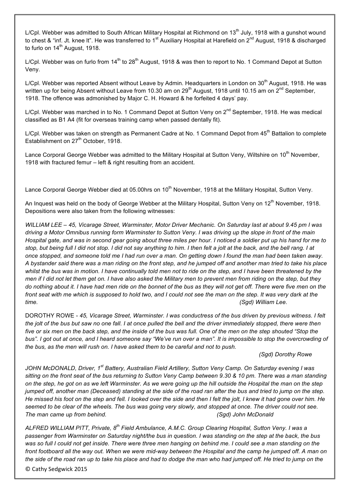L/Cpl. Webber was admitted to South African Military Hospital at Richmond on 13<sup>th</sup> July, 1918 with a gunshot wound to chest & "inf. Jt. knee It". He was transferred to 1<sup>st</sup> Auxiliary Hospital at Harefield on 2<sup>nd</sup> August, 1918 & discharged to furlo on  $14<sup>th</sup>$  August, 1918.

L/Cpl. Webber was on furlo from  $14<sup>th</sup>$  to 28<sup>th</sup> August, 1918 & was then to report to No. 1 Command Depot at Sutton Veny.

L/Cpl. Webber was reported Absent without Leave by Admin. Headquarters in London on 30<sup>th</sup> August, 1918. He was written up for being Absent without Leave from 10.30 am on 29<sup>th</sup> August, 1918 until 10.15 am on 2<sup>nd</sup> September, 1918. The offence was admonished by Major C. H. Howard & he forfeited 4 days' pay.

L/Cpl. Webber was marched in to No. 1 Command Depot at Sutton Veny on 2<sup>nd</sup> September, 1918. He was medical classified as B1 A4 (fit for overseas training camp when passed dentally fit).

L/Cpl. Webber was taken on strength as Permanent Cadre at No. 1 Command Depot from 45<sup>th</sup> Battalion to complete Establishment on 27<sup>th</sup> October, 1918.

Lance Corporal George Webber was admitted to the Military Hospital at Sutton Veny, Wiltshire on 10<sup>th</sup> November, 1918 with fractured femur – left & right resulting from an accident.

Lance Corporal George Webber died at 05.00hrs on 10<sup>th</sup> November, 1918 at the Military Hospital, Sutton Veny.

An Inquest was held on the body of George Webber at the Military Hospital, Sutton Veny on  $12<sup>th</sup>$  November, 1918. Depositions were also taken from the following witnesses:

*WILLIAM LEE – 45, Vicarage Street, Warminster, Motor Driver Mechanic. On Saturday last at about 9.45 pm I was driving a Motor Omnibus running form Warminster to Sutton Veny. I was driving up the slope in front of the main Hospital gate, and was in second gear going about three miles per hour. I noticed a soldier put up his hand for me to stop, but being full I did not stop. I did not say anything to him. I then felt a jolt at the back, and the bell rang. I at once stopped, and someone told me I had run over a man. On getting down I found the man had been taken away. A bystander said there was a man riding on the front step, and he jumped off and another man tried to take his place whilst the bus was in motion. I have continually told men not to ride on the step, and I have been threatened by the men if I did not let them get on. I have also asked the Military men to prevent men from riding on the step, but they do nothing about it. I have had men ride on the bonnet of the bus as they will not get off. There were five men on the front seat with me which is supposed to hold two, and I could not see the man on the step. It was very dark at the time. (Sgd) William Lee.*

DOROTHY ROWE - *45, Vicarage Street, Warminster. I was conductress of the bus driven by previous witness. I felt the jolt of the bus but saw no one fall. I at once pulled the bell and the driver immediately stopped, there were then*  five or six men on the back step, and the inside of the bus was full. One of the men on the step shouted "Stop the bus". I got out at once, and I heard someone say "We've run over a man". It is impossible to stop the overcrowding of *the bus, as the men will rush on. I have asked them to be careful and not to push.* 

#### *(Sgd) Dorothy Rowe*

*JOHN McDONALD, Driver, 1st Battery, Australian Field Artillery, Sutton Veny Camp. On Saturday evening I was sitting on the front seat of the bus returning to Sutton Veny Camp between 9.30 & 10 pm. There was a man standing on the step, he got on as we left Warminster. As we were going up the hill outside the Hospital the man on the step jumped off, another man (Deceased) standing at the side of the road ran after the bus and tried to jump on the step. He missed his foot on the step and fell. I looked over the side and then I felt the jolt, I knew it had gone over him. He*  seemed to be clear of the wheels. The bus was going very slowly, and stopped at once. The driver could not see. *The man came up from behind. (Sgd) John McDonald*

*ALFRED WILLIAM PITT, Private, 8th Field Ambulance, A.M.C. Group Clearing Hospital, Sutton Veny. I was a passenger from Warminster on Saturday night/the bus in question. I was standing on the step at the back, the bus was so full I could not get inside. There were three men hanging on behind me. I could see a man standing on the front footboard all the way out. When we were mid-way between the Hospital and the camp he jumped off. A man on the side of the road ran up to take his place and had to dodge the man who had jumped off. He tried to jump on the*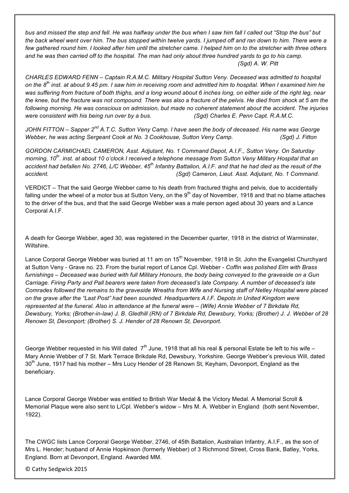*bus and missed the step and fell. He was halfway under the bus when I saw him fall I called out "Stop the bus" but the back wheel went over him. The bus stopped within twelve yards. I jumped off and ran down to him. There were a few gathered round him. I looked after him until the stretcher came. I helped him on to the stretcher with three others and he was then carried off to the hospital. The man had only about three hundred yards to go to his camp. (Sgd) A. W. Pitt*

*CHARLES EDWARD FENN – Captain R.A.M.C. Military Hospital Sutton Veny. Deceased was admitted to hospital on the 8th inst. at about 9.45 pm. I saw him in receiving room and admitted him to hospital. When I examined him he was suffering from fracture of both thighs, and a long wound about 6 inches long, on either side of the right leg, near the knee, but the fracture was not compound. There was also a fracture of the pelvis. He died from shock at 5 am the following morning. He was conscious on admission, but made no coherent statement about the accident. The injuries were consistent with his being run over by a bus. (Sgd) Charles E. Penn Capt. R.A.M.C.*

*JOHN FITTON – Sapper 2nd A.T.C. Sutton Veny Camp. I have seen the body of deceased. His name was George Webber, he was acting Sergeant Cook at No. 3 Cookhouse, Sutton Veny Camp. (Sgd) J. Fitton*

*GORDON CARMICHAEL CAMERON, Asst. Adjutant, No. 1 Command Depot, A.I.F., Sutton Veny. On Saturday morning, 10th. inst. at about 10 o'clock I received a telephone message from Sutton Veny Military Hospital that an accident had befallen No. 2746, L/C Webber, 45th Infantry Battalion, A.I.F. and that he had died as the result of the accident. (Sgd) Cameron, Lieut. Asst. Adjutant, No. 1 Command.* 

VERDICT – That the said George Webber came to his death from fractured thighs and pelvis, due to accidentally falling under the wheel of a motor bus at Sutton Veny, on the  $9<sup>th</sup>$  day of November, 1918 and that no blame attaches to the driver of the bus, and that the said George Webber was a male person aged about 30 years and a Lance Corporal A.I.F.

A death for George Webber, aged 30, was registered in the December quarter, 1918 in the district of Warminster, Wiltshire.

Lance Corporal George Webber was buried at 11 am on 15<sup>th</sup> November, 1918 in St. John the Evangelist Churchyard at Sutton Veny - Grave no. 23. From the burial report of Lance Cpl. Webber - *Coffin was polished Elm with Brass furnishings* – *Deceased was buried with full Military Honours, the body being conveyed to the graveside on a Gun Carriage. Firing Party and Pall bearers were taken from deceased's late Company. A number of deceased's late Comrades followed the remains to the graveside Wreaths from Wife and Nursing staff of Netley Hospital were placed on the grave after the "Last Post" had been sounded. Headquarters A.I.F. Depots in United Kingdom were represented at the funeral. Also in attendance at the funeral were – (Wife) Annie Webber of 7 Birkdale Rd, Dewsbury, Yorks; (Brother-in-law) J. B. Gledhill (RN) of 7 Birkdale Rd, Dewsbury, Yorks; (Brother) J. J. Webber of 28 Renown St, Devonport; (Brother) S. J. Hender of 28 Renown St, Devonport.*

George Webber requested in his Will dated  $7<sup>th</sup>$  June, 1918 that all his real & personal Estate be left to his wife – Mary Annie Webber of 7 St. Mark Terrace Brikdale Rd, Dewsbury, Yorkshire. George Webber's previous Will, dated  $30<sup>th</sup>$  June, 1917 had his mother – Mrs Lucy Hender of 28 Renown St, Keyham, Devonport, England as the beneficiary.

Lance Corporal George Webber was entitled to British War Medal & the Victory Medal. A Memorial Scroll & Memorial Plaque were also sent to L/Cpl. Webber's widow – Mrs M. A. Webber in England (both sent November, 1922).

The CWGC lists Lance Corporal George Webber, 2746, of 45th Battalion, Australian Infantry, A.I.F., as the son of Mrs L. Hender; husband of Annie Hopkinson (formerly Webber) of 3 Richmond Street, Cross Bank, Batley, Yorks, England. Born at Devonport, England. Awarded MM.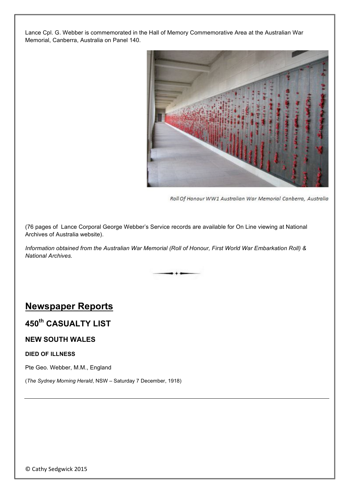Lance Cpl. G. Webber is commemorated in the Hall of Memory Commemorative Area at the Australian War Memorial, Canberra, Australia on Panel 140.



Roll Of Honour WW1 Australian War Memorial Canberra, Australia

(76 pages of Lance Corporal George Webber's Service records are available for On Line viewing at National Archives of Australia website).

*Information obtained from the Australian War Memorial (Roll of Honour, First World War Embarkation Roll) & National Archives.*

### **Newspaper Reports**

## **450th CASUALTY LIST**

### **NEW SOUTH WALES**

#### **DIED OF ILLNESS**

Pte Geo. Webber, M.M., England

(*The Sydney Morning Herald*, NSW – Saturday 7 December, 1918)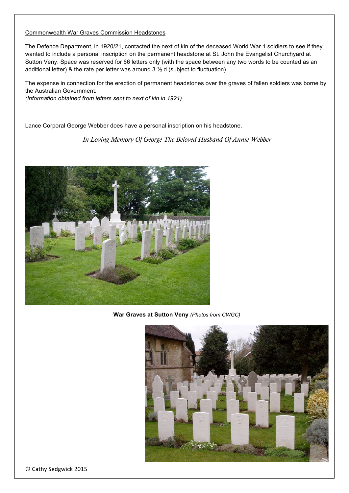#### Commonwealth War Graves Commission Headstones

The Defence Department, in 1920/21, contacted the next of kin of the deceased World War 1 soldiers to see if they wanted to include a personal inscription on the permanent headstone at St. John the Evangelist Churchyard at Sutton Veny. Space was reserved for 66 letters only (with the space between any two words to be counted as an additional letter) & the rate per letter was around 3 ½ d (subject to fluctuation).

The expense in connection for the erection of permanent headstones over the graves of fallen soldiers was borne by the Australian Government. *(Information obtained from letters sent to next of kin in 1921)*

Lance Corporal George Webber does have a personal inscription on his headstone.

*In Loving Memory Of George The Beloved Husband Of Annie Webber*



**War Graves at Sutton Veny** *(Photos from CWGC)*